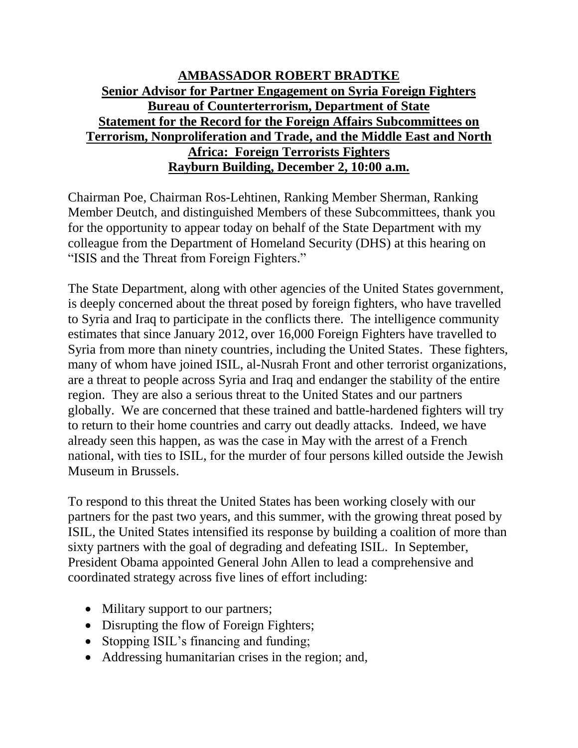## **AMBASSADOR ROBERT BRADTKE Senior Advisor for Partner Engagement on Syria Foreign Fighters Bureau of Counterterrorism, Department of State Statement for the Record for the Foreign Affairs Subcommittees on Terrorism, Nonproliferation and Trade, and the Middle East and North Africa: Foreign Terrorists Fighters Rayburn Building, December 2, 10:00 a.m.**

Chairman Poe, Chairman Ros-Lehtinen, Ranking Member Sherman, Ranking Member Deutch, and distinguished Members of these Subcommittees, thank you for the opportunity to appear today on behalf of the State Department with my colleague from the Department of Homeland Security (DHS) at this hearing on "ISIS and the Threat from Foreign Fighters."

The State Department, along with other agencies of the United States government, is deeply concerned about the threat posed by foreign fighters, who have travelled to Syria and Iraq to participate in the conflicts there. The intelligence community estimates that since January 2012, over 16,000 Foreign Fighters have travelled to Syria from more than ninety countries, including the United States. These fighters, many of whom have joined ISIL, al-Nusrah Front and other terrorist organizations, are a threat to people across Syria and Iraq and endanger the stability of the entire region. They are also a serious threat to the United States and our partners globally. We are concerned that these trained and battle-hardened fighters will try to return to their home countries and carry out deadly attacks. Indeed, we have already seen this happen, as was the case in May with the arrest of a French national, with ties to ISIL, for the murder of four persons killed outside the Jewish Museum in Brussels.

To respond to this threat the United States has been working closely with our partners for the past two years, and this summer, with the growing threat posed by ISIL, the United States intensified its response by building a coalition of more than sixty partners with the goal of degrading and defeating ISIL. In September, President Obama appointed General John Allen to lead a comprehensive and coordinated strategy across five lines of effort including:

- Military support to our partners;
- Disrupting the flow of Foreign Fighters;
- Stopping ISIL's financing and funding;
- Addressing humanitarian crises in the region; and,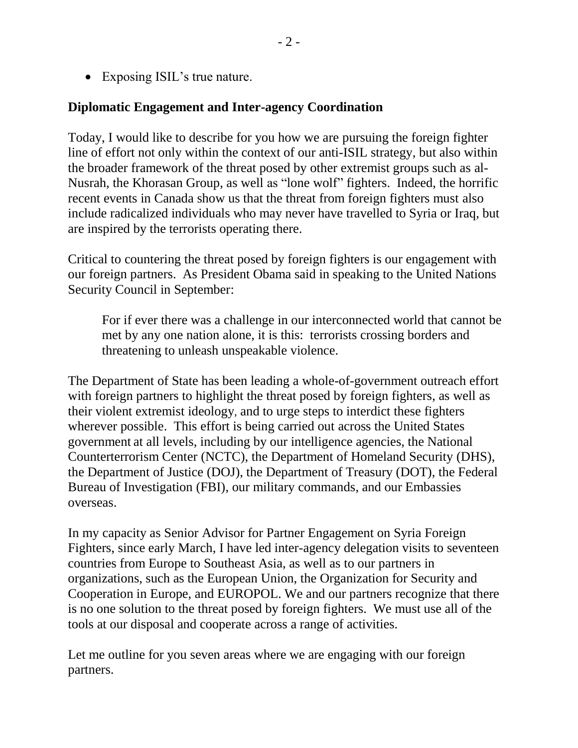• Exposing ISIL's true nature.

## **Diplomatic Engagement and Inter-agency Coordination**

Today, I would like to describe for you how we are pursuing the foreign fighter line of effort not only within the context of our anti-ISIL strategy, but also within the broader framework of the threat posed by other extremist groups such as al-Nusrah, the Khorasan Group, as well as "lone wolf" fighters. Indeed, the horrific recent events in Canada show us that the threat from foreign fighters must also include radicalized individuals who may never have travelled to Syria or Iraq, but are inspired by the terrorists operating there.

Critical to countering the threat posed by foreign fighters is our engagement with our foreign partners. As President Obama said in speaking to the United Nations Security Council in September:

For if ever there was a challenge in our interconnected world that cannot be met by any one nation alone, it is this: terrorists crossing borders and threatening to unleash unspeakable violence.

The Department of State has been leading a whole-of-government outreach effort with foreign partners to highlight the threat posed by foreign fighters, as well as their violent extremist ideology, and to urge steps to interdict these fighters wherever possible. This effort is being carried out across the United States government at all levels, including by our intelligence agencies, the National Counterterrorism Center (NCTC), the Department of Homeland Security (DHS), the Department of Justice (DOJ), the Department of Treasury (DOT), the Federal Bureau of Investigation (FBI), our military commands, and our Embassies overseas.

In my capacity as Senior Advisor for Partner Engagement on Syria Foreign Fighters, since early March, I have led inter-agency delegation visits to seventeen countries from Europe to Southeast Asia, as well as to our partners in organizations, such as the European Union, the Organization for Security and Cooperation in Europe, and EUROPOL. We and our partners recognize that there is no one solution to the threat posed by foreign fighters. We must use all of the tools at our disposal and cooperate across a range of activities.

Let me outline for you seven areas where we are engaging with our foreign partners.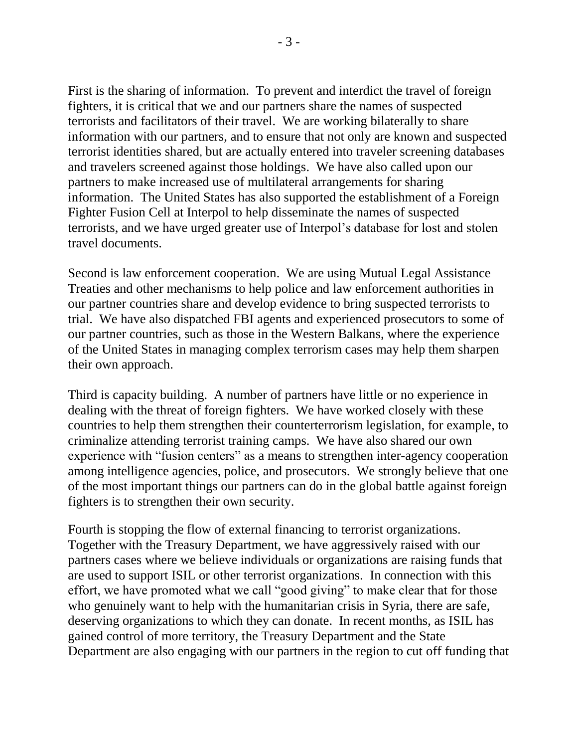First is the sharing of information. To prevent and interdict the travel of foreign fighters, it is critical that we and our partners share the names of suspected terrorists and facilitators of their travel. We are working bilaterally to share information with our partners, and to ensure that not only are known and suspected terrorist identities shared, but are actually entered into traveler screening databases and travelers screened against those holdings. We have also called upon our partners to make increased use of multilateral arrangements for sharing information. The United States has also supported the establishment of a Foreign Fighter Fusion Cell at Interpol to help disseminate the names of suspected terrorists, and we have urged greater use of Interpol's database for lost and stolen travel documents.

Second is law enforcement cooperation. We are using Mutual Legal Assistance Treaties and other mechanisms to help police and law enforcement authorities in our partner countries share and develop evidence to bring suspected terrorists to trial. We have also dispatched FBI agents and experienced prosecutors to some of our partner countries, such as those in the Western Balkans, where the experience of the United States in managing complex terrorism cases may help them sharpen their own approach.

Third is capacity building. A number of partners have little or no experience in dealing with the threat of foreign fighters. We have worked closely with these countries to help them strengthen their counterterrorism legislation, for example, to criminalize attending terrorist training camps. We have also shared our own experience with "fusion centers" as a means to strengthen inter-agency cooperation among intelligence agencies, police, and prosecutors. We strongly believe that one of the most important things our partners can do in the global battle against foreign fighters is to strengthen their own security.

Fourth is stopping the flow of external financing to terrorist organizations. Together with the Treasury Department, we have aggressively raised with our partners cases where we believe individuals or organizations are raising funds that are used to support ISIL or other terrorist organizations. In connection with this effort, we have promoted what we call "good giving" to make clear that for those who genuinely want to help with the humanitarian crisis in Syria, there are safe, deserving organizations to which they can donate. In recent months, as ISIL has gained control of more territory, the Treasury Department and the State Department are also engaging with our partners in the region to cut off funding that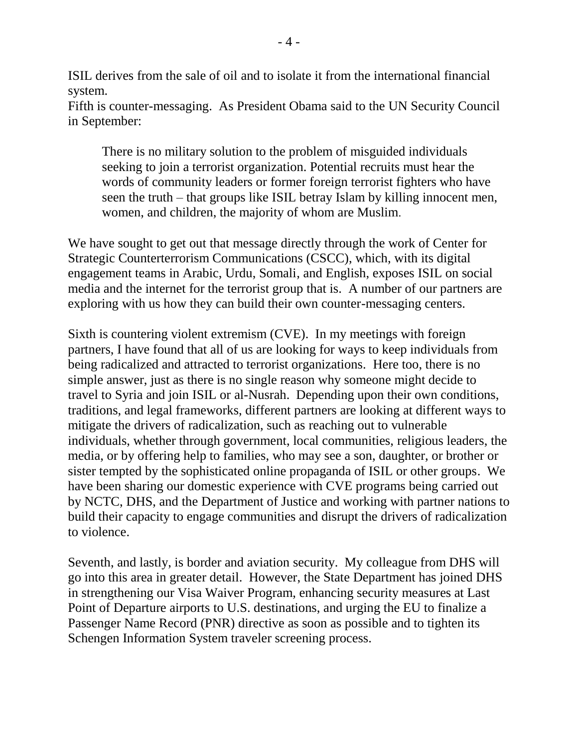ISIL derives from the sale of oil and to isolate it from the international financial system.

Fifth is counter-messaging. As President Obama said to the UN Security Council in September:

There is no military solution to the problem of misguided individuals seeking to join a terrorist organization. Potential recruits must hear the words of community leaders or former foreign terrorist fighters who have seen the truth – that groups like ISIL betray Islam by killing innocent men, women, and children, the majority of whom are Muslim.

We have sought to get out that message directly through the work of Center for Strategic Counterterrorism Communications (CSCC), which, with its digital engagement teams in Arabic, Urdu, Somali, and English, exposes ISIL on social media and the internet for the terrorist group that is. A number of our partners are exploring with us how they can build their own counter-messaging centers.

Sixth is countering violent extremism (CVE). In my meetings with foreign partners, I have found that all of us are looking for ways to keep individuals from being radicalized and attracted to terrorist organizations. Here too, there is no simple answer, just as there is no single reason why someone might decide to travel to Syria and join ISIL or al-Nusrah. Depending upon their own conditions, traditions, and legal frameworks, different partners are looking at different ways to mitigate the drivers of radicalization, such as reaching out to vulnerable individuals, whether through government, local communities, religious leaders, the media, or by offering help to families, who may see a son, daughter, or brother or sister tempted by the sophisticated online propaganda of ISIL or other groups. We have been sharing our domestic experience with CVE programs being carried out by NCTC, DHS, and the Department of Justice and working with partner nations to build their capacity to engage communities and disrupt the drivers of radicalization to violence.

Seventh, and lastly, is border and aviation security. My colleague from DHS will go into this area in greater detail. However, the State Department has joined DHS in strengthening our Visa Waiver Program, enhancing security measures at Last Point of Departure airports to U.S. destinations, and urging the EU to finalize a Passenger Name Record (PNR) directive as soon as possible and to tighten its Schengen Information System traveler screening process.